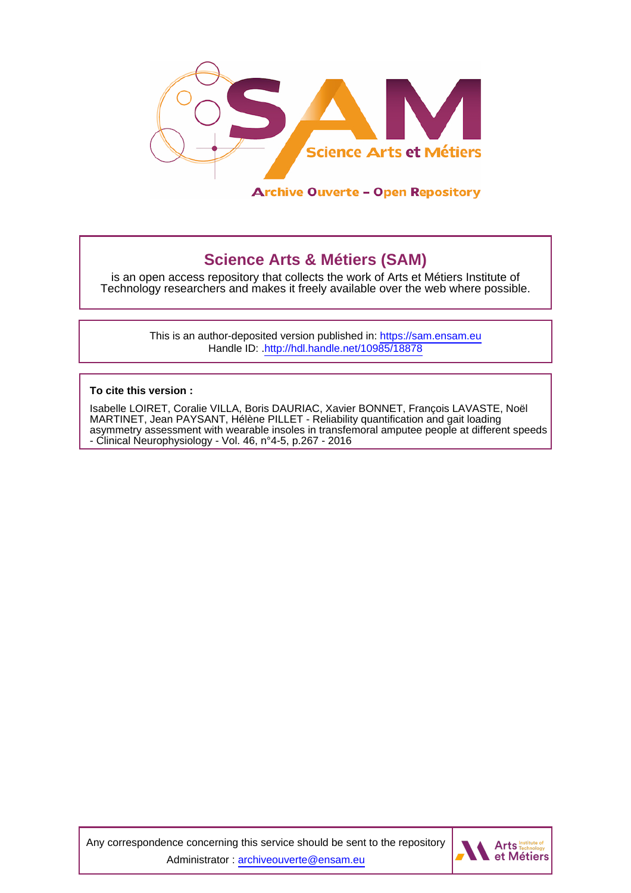

## **Science Arts & Métiers (SAM)**

is an open access repository that collects the work of Arts et Métiers Institute of Technology researchers and makes it freely available over the web where possible.

> This is an author-deposited version published in:<https://sam.ensam.eu> Handle ID: [.http://hdl.handle.net/10985/18878](http://hdl.handle.net/10985/18878)

**To cite this version :**

Isabelle LOIRET, Coralie VILLA, Boris DAURIAC, Xavier BONNET, François LAVASTE, Noël MARTINET, Jean PAYSANT, Hélène PILLET - Reliability quantification and gait loading asymmetry assessment with wearable insoles in transfemoral amputee people at different speeds - Clinical Neurophysiology - Vol. 46, n°4-5, p.267 - 2016

Any correspondence concerning this service should be sent to the repository Administrator : [archiveouverte@ensam.eu](mailto:archiveouverte@ensam.eu)